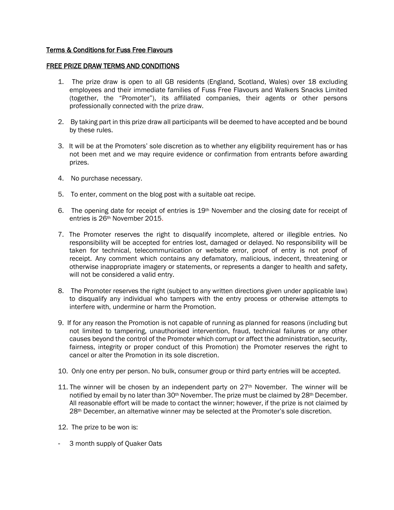## Terms & Conditions for Fuss Free Flavours

## FREE PRIZE DRAW TERMS AND CONDITIONS

- 1. The prize draw is open to all GB residents (England, Scotland, Wales) over 18 excluding employees and their immediate families of Fuss Free Flavours and Walkers Snacks Limited (together, the "Promoter"), its affiliated companies, their agents or other persons professionally connected with the prize draw.
- 2. By taking part in this prize draw all participants will be deemed to have accepted and be bound by these rules.
- 3. It will be at the Promoters' sole discretion as to whether any eligibility requirement has or has not been met and we may require evidence or confirmation from entrants before awarding prizes.
- 4. No purchase necessary.
- 5. To enter, comment on the blog post with a suitable oat recipe.
- 6. The opening date for receipt of entries is  $19<sup>th</sup>$  November and the closing date for receipt of entries is 26th November 2015.
- 7. The Promoter reserves the right to disqualify incomplete, altered or illegible entries. No responsibility will be accepted for entries lost, damaged or delayed. No responsibility will be taken for technical, telecommunication or website error, proof of entry is not proof of receipt. Any comment which contains any defamatory, malicious, indecent, threatening or otherwise inappropriate imagery or statements, or represents a danger to health and safety, will not be considered a valid entry.
- 8. The Promoter reserves the right (subject to any written directions given under applicable law) to disqualify any individual who tampers with the entry process or otherwise attempts to interfere with, undermine or harm the Promotion.
- 9. If for any reason the Promotion is not capable of running as planned for reasons (including but not limited to tampering, unauthorised intervention, fraud, technical failures or any other causes beyond the control of the Promoter which corrupt or affect the administration, security, fairness, integrity or proper conduct of this Promotion) the Promoter reserves the right to cancel or alter the Promotion in its sole discretion.
- 10. Only one entry per person. No bulk, consumer group or third party entries will be accepted.
- 11. The winner will be chosen by an independent party on  $27<sup>th</sup>$  November. The winner will be notified by email by no later than 30<sup>th</sup> November. The prize must be claimed by 28<sup>th</sup> December. All reasonable effort will be made to contact the winner; however, if the prize is not claimed by 28<sup>th</sup> December, an alternative winner may be selected at the Promoter's sole discretion.
- 12. The prize to be won is:
- 3 month supply of Quaker Oats